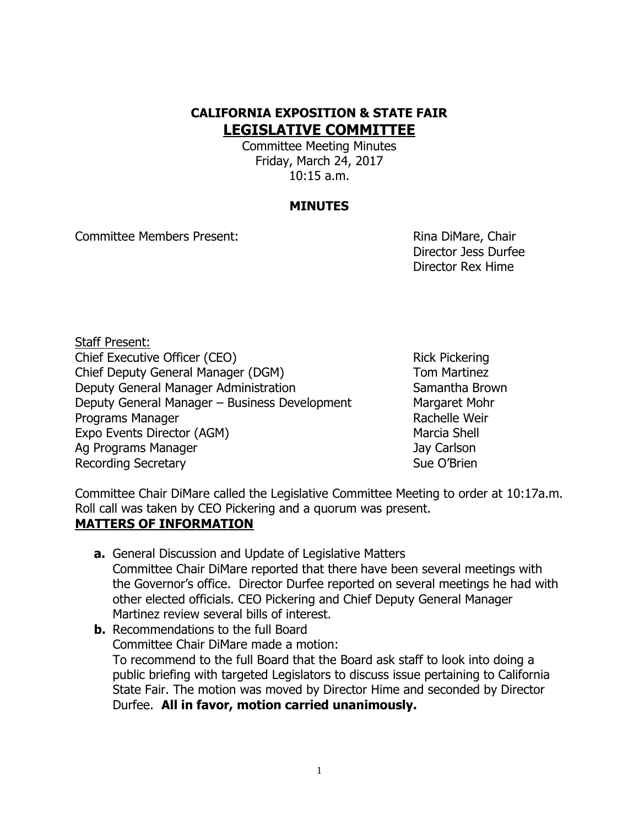# **CALIFORNIA EXPOSITION & STATE FAIR LEGISLATIVE COMMITTEE**

Committee Meeting Minutes Friday, March 24, 2017 10:15 a.m.

### **MINUTES**

Committee Members Present: Rina DiMare, Chair

Director Jess Durfee Director Rex Hime

Staff Present: Chief Executive Officer (CEO) Solution Chief Executive Officer (CEO) Chief Deputy General Manager (DGM) Tom Martinez Deputy General Manager Administration Samantha Brown Deputy General Manager – Business Development Margaret Mohr Programs Manager **Rachelle Weir** Rachelle Weir Expo Events Director (AGM) Marcia Shell Ag Programs Manager **Jay Carlson** Recording Secretary **Sue O'Brien** Sue O'Brien

Committee Chair DiMare called the Legislative Committee Meeting to order at 10:17a.m. Roll call was taken by CEO Pickering and a quorum was present.

## **MATTERS OF INFORMATION**

- **a.** General Discussion and Update of Legislative Matters Committee Chair DiMare reported that there have been several meetings with the Governor's office. Director Durfee reported on several meetings he had with other elected officials. CEO Pickering and Chief Deputy General Manager Martinez review several bills of interest.
- **b.** Recommendations to the full Board Committee Chair DiMare made a motion: To recommend to the full Board that the Board ask staff to look into doing a public briefing with targeted Legislators to discuss issue pertaining to California State Fair. The motion was moved by Director Hime and seconded by Director Durfee. **All in favor, motion carried unanimously.**